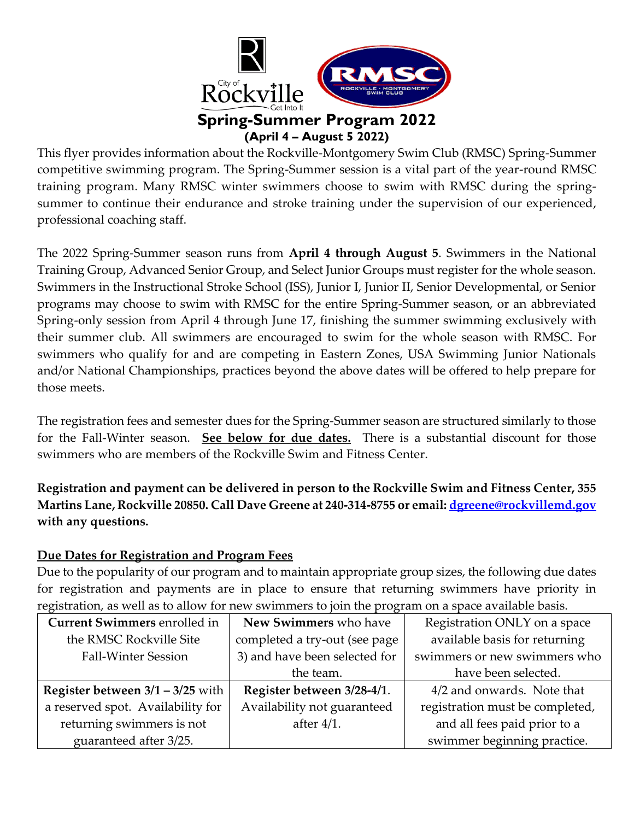

This flyer provides information about the Rockville-Montgomery Swim Club (RMSC) Spring-Summer competitive swimming program. The Spring-Summer session is a vital part of the year-round RMSC training program. Many RMSC winter swimmers choose to swim with RMSC during the springsummer to continue their endurance and stroke training under the supervision of our experienced, professional coaching staff.

The 2022 Spring-Summer season runs from **April 4 through August 5**. Swimmers in the National Training Group, Advanced Senior Group, and Select Junior Groups must register for the whole season. Swimmers in the Instructional Stroke School (ISS), Junior I, Junior II, Senior Developmental, or Senior programs may choose to swim with RMSC for the entire Spring-Summer season, or an abbreviated Spring-only session from April 4 through June 17, finishing the summer swimming exclusively with their summer club. All swimmers are encouraged to swim for the whole season with RMSC. For swimmers who qualify for and are competing in Eastern Zones, USA Swimming Junior Nationals and/or National Championships, practices beyond the above dates will be offered to help prepare for those meets.

The registration fees and semester dues for the Spring-Summer season are structured similarly to those for the Fall-Winter season. **See below for due dates.** There is a substantial discount for those swimmers who are members of the Rockville Swim and Fitness Center.

**Registration and payment can be delivered in person to the Rockville Swim and Fitness Center, 355 Martins Lane, Rockville 20850. Call Dave Greene at 240-314-8755 or email: [dgreene@rockvillemd.gov](mailto:dgreene@rockvillemd.gov) with any questions.**

### **Due Dates for Registration and Program Fees**

Due to the popularity of our program and to maintain appropriate group sizes, the following due dates for registration and payments are in place to ensure that returning swimmers have priority in registration, as well as to allow for new swimmers to join the program on a space available basis.

| <b>Current Swimmers enrolled in</b> | New Swimmers who have         | Registration ONLY on a space    |
|-------------------------------------|-------------------------------|---------------------------------|
| the RMSC Rockville Site             | completed a try-out (see page | available basis for returning   |
| <b>Fall-Winter Session</b>          | 3) and have been selected for | swimmers or new swimmers who    |
|                                     | the team.                     | have been selected.             |
| Register between $3/1 - 3/25$ with  | Register between 3/28-4/1.    | 4/2 and onwards. Note that      |
| a reserved spot. Availability for   | Availability not guaranteed   | registration must be completed, |
| returning swimmers is not           | after $4/1$ .                 | and all fees paid prior to a    |
| guaranteed after 3/25.              |                               | swimmer beginning practice.     |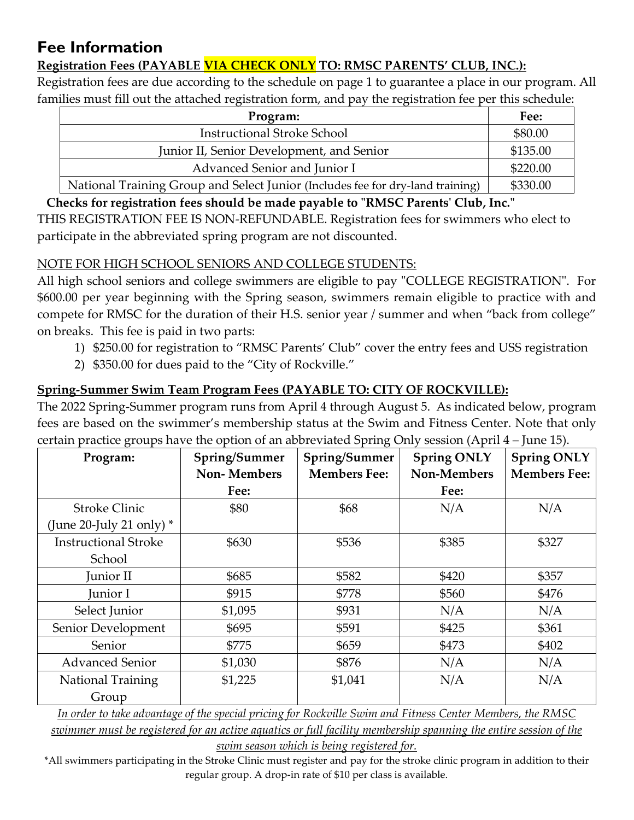# **Fee Information**

## **Registration Fees (PAYABLE VIA CHECK ONLY TO: RMSC PARENTS' CLUB, INC.):**

Registration fees are due according to the schedule on page 1 to guarantee a place in our program. All families must fill out the attached registration form, and pay the registration fee per this schedule:

| Program:                                                                       | Fee:     |
|--------------------------------------------------------------------------------|----------|
| <b>Instructional Stroke School</b>                                             | \$80.00  |
| Junior II, Senior Development, and Senior                                      | \$135.00 |
| Advanced Senior and Junior I                                                   | \$220.00 |
| National Training Group and Select Junior (Includes fee for dry-land training) | \$330.00 |

**Checks for registration fees should be made payable to "RMSC Parents' Club, Inc."**

THIS REGISTRATION FEE IS NON-REFUNDABLE. Registration fees for swimmers who elect to participate in the abbreviated spring program are not discounted.

### NOTE FOR HIGH SCHOOL SENIORS AND COLLEGE STUDENTS:

All high school seniors and college swimmers are eligible to pay "COLLEGE REGISTRATION". For \$600.00 per year beginning with the Spring season, swimmers remain eligible to practice with and compete for RMSC for the duration of their H.S. senior year / summer and when "back from college" on breaks. This fee is paid in two parts:

- 1) \$250.00 for registration to "RMSC Parents' Club" cover the entry fees and USS registration
- 2) \$350.00 for dues paid to the "City of Rockville."

## **Spring-Summer Swim Team Program Fees (PAYABLE TO: CITY OF ROCKVILLE):**

The 2022 Spring-Summer program runs from April 4 through August 5. As indicated below, program fees are based on the swimmer's membership status at the Swim and Fitness Center. Note that only certain practice groups have the option of an abbreviated Spring Only session (April 4 – June 15).

| $\cup$<br>Program:          | Spring/Summer<br><b>Non-Members</b> | ◡<br>Spring/Summer<br><b>Members Fee:</b> | <b>Spring ONLY</b><br>Non-Members | <b>Spring ONLY</b><br><b>Members Fee:</b> |
|-----------------------------|-------------------------------------|-------------------------------------------|-----------------------------------|-------------------------------------------|
|                             | Fee:                                |                                           | Fee:                              |                                           |
| <b>Stroke Clinic</b>        | \$80                                | \$68                                      | N/A                               | N/A                                       |
| (June 20-July 21 only) $*$  |                                     |                                           |                                   |                                           |
| <b>Instructional Stroke</b> | \$630                               | \$536                                     | \$385                             | \$327                                     |
| School                      |                                     |                                           |                                   |                                           |
| Junior II                   | \$685                               | \$582                                     | \$420                             | \$357                                     |
| Junior I                    | \$915                               | \$778                                     | \$560                             | \$476                                     |
| Select Junior               | \$1,095                             | \$931                                     | N/A                               | N/A                                       |
| Senior Development          | \$695                               | \$591                                     | \$425                             | \$361                                     |
| Senior                      | \$775                               | \$659                                     | \$473                             | \$402                                     |
| <b>Advanced Senior</b>      | \$1,030                             | \$876                                     | N/A                               | N/A                                       |
| <b>National Training</b>    | \$1,225                             | \$1,041                                   | N/A                               | N/A                                       |
| Group                       |                                     |                                           |                                   |                                           |

*In order to take advantage of the special pricing for Rockville Swim and Fitness Center Members, the RMSC swimmer must be registered for an active aquatics or full facility membership spanning the entire session of the swim season which is being registered for.*

\*All swimmers participating in the Stroke Clinic must register and pay for the stroke clinic program in addition to their regular group. A drop-in rate of \$10 per class is available.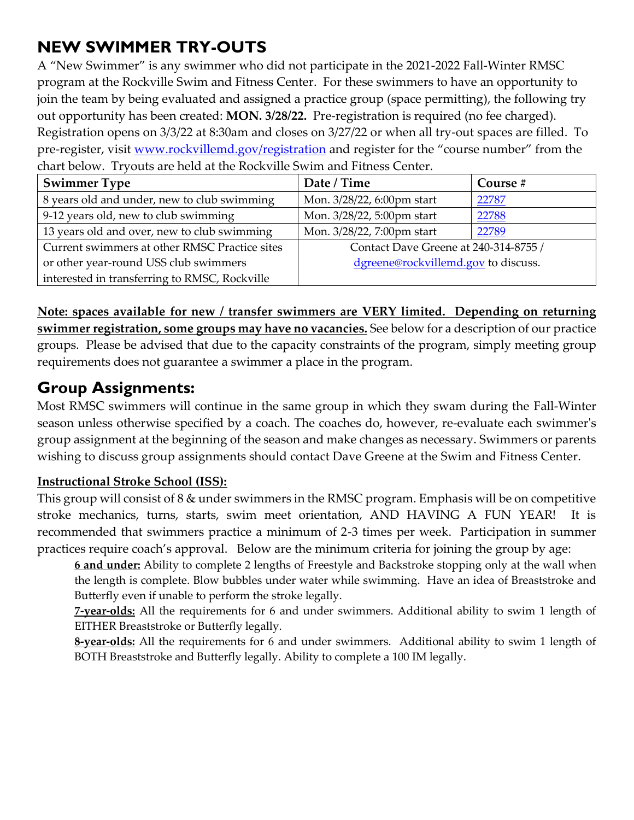# **NEW SWIMMER TRY-OUTS**

A "New Swimmer" is any swimmer who did not participate in the 2021-2022 Fall-Winter RMSC program at the Rockville Swim and Fitness Center. For these swimmers to have an opportunity to join the team by being evaluated and assigned a practice group (space permitting), the following try out opportunity has been created: **MON. 3/28/22.** Pre-registration is required (no fee charged). Registration opens on 3/3/22 at 8:30am and closes on 3/27/22 or when all try-out spaces are filled. To pre-register, visit [www.rockvillemd.gov/registration](http://www.rockvillemd.gov/registration) and register for the "course number" from the chart below. Tryouts are held at the Rockville Swim and Fitness Center.

| <b>Swimmer Type</b>                           | Date / Time                           | Course # |
|-----------------------------------------------|---------------------------------------|----------|
| 8 years old and under, new to club swimming   | Mon. 3/28/22, 6:00pm start            | 22787    |
| 9-12 years old, new to club swimming          | Mon. 3/28/22, 5:00pm start            | 22788    |
| 13 years old and over, new to club swimming   | Mon. 3/28/22, 7:00pm start            | 22789    |
| Current swimmers at other RMSC Practice sites | Contact Dave Greene at 240-314-8755 / |          |
| or other year-round USS club swimmers         | dgreene@rockvillemd.gov to discuss.   |          |
| interested in transferring to RMSC, Rockville |                                       |          |

**Note: spaces available for new / transfer swimmers are VERY limited. Depending on returning swimmer registration, some groups may have no vacancies.** See below for a description of our practice groups. Please be advised that due to the capacity constraints of the program, simply meeting group requirements does not guarantee a swimmer a place in the program.

## **Group Assignments:**

Most RMSC swimmers will continue in the same group in which they swam during the Fall-Winter season unless otherwise specified by a coach. The coaches do, however, re-evaluate each swimmer's group assignment at the beginning of the season and make changes as necessary. Swimmers or parents wishing to discuss group assignments should contact Dave Greene at the Swim and Fitness Center.

## **Instructional Stroke School (ISS):**

This group will consist of 8 & under swimmers in the RMSC program. Emphasis will be on competitive stroke mechanics, turns, starts, swim meet orientation, AND HAVING A FUN YEAR! It is recommended that swimmers practice a minimum of 2-3 times per week. Participation in summer practices require coach's approval. Below are the minimum criteria for joining the group by age:

**6 and under:** Ability to complete 2 lengths of Freestyle and Backstroke stopping only at the wall when the length is complete. Blow bubbles under water while swimming. Have an idea of Breaststroke and Butterfly even if unable to perform the stroke legally.

**7-year-olds:** All the requirements for 6 and under swimmers. Additional ability to swim 1 length of EITHER Breaststroke or Butterfly legally.

**8-year-olds:** All the requirements for 6 and under swimmers. Additional ability to swim 1 length of BOTH Breaststroke and Butterfly legally. Ability to complete a 100 IM legally.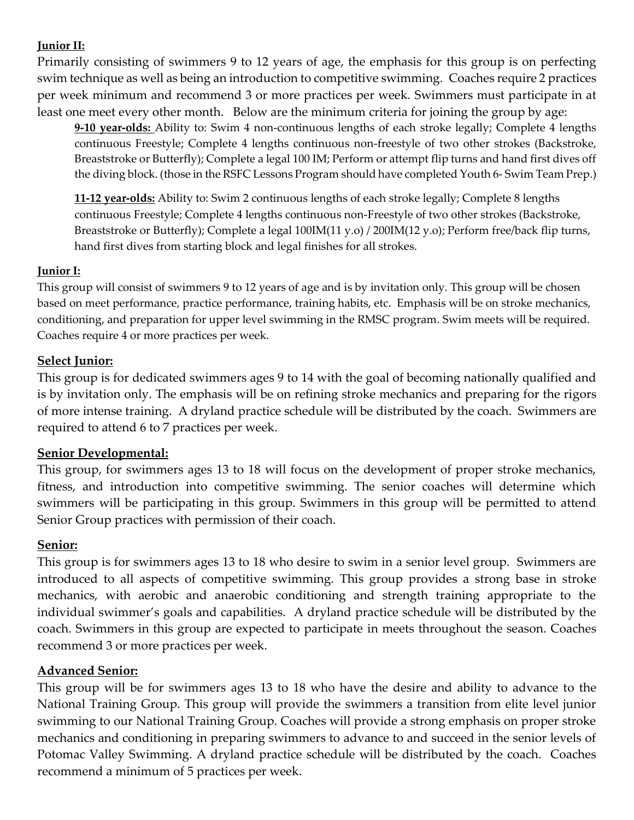#### **Junior II:**

Primarily consisting of swimmers 9 to 12 years of age, the emphasis for this group is on perfecting swim technique as well as being an introduction to competitive swimming. Coaches require 2 practices per week minimum and recommend 3 or more practices per week. Swimmers must participate in at least one meet every other month. Below are the minimum criteria for joining the group by age:

**9-10 year-olds:** Ability to: Swim 4 non-continuous lengths of each stroke legally; Complete 4 lengths continuous Freestyle; Complete 4 lengths continuous non-freestyle of two other strokes (Backstroke, Breaststroke or Butterfly); Complete a legal 100 IM; Perform or attempt flip turns and hand first dives off the diving block. (those in the RSFC Lessons Program should have completed Youth 6- Swim Team Prep.)

**11-12 year-olds:** Ability to: Swim 2 continuous lengths of each stroke legally; Complete 8 lengths continuous Freestyle; Complete 4 lengths continuous non-Freestyle of two other strokes (Backstroke, Breaststroke or Butterfly); Complete a legal 100IM(11 y.o) / 200IM(12 y.o); Perform free/back flip turns, hand first dives from starting block and legal finishes for all strokes.

#### **Junior I:**

This group will consist of swimmers 9 to 12 years of age and is by invitation only. This group will be chosen based on meet performance, practice performance, training habits, etc. Emphasis will be on stroke mechanics, conditioning, and preparation for upper level swimming in the RMSC program. Swim meets will be required. Coaches require 4 or more practices per week.

### **Select Junior:**

This group is for dedicated swimmers ages 9 to 14 with the goal of becoming nationally qualified and is by invitation only. The emphasis will be on refining stroke mechanics and preparing for the rigors of more intense training. A dryland practice schedule will be distributed by the coach. Swimmers are required to attend 6 to 7 practices per week.

### **Senior Developmental:**

This group, for swimmers ages 13 to 18 will focus on the development of proper stroke mechanics, fitness, and introduction into competitive swimming. The senior coaches will determine which swimmers will be participating in this group. Swimmers in this group will be permitted to attend Senior Group practices with permission of their coach.

### **Senior:**

This group is for swimmers ages 13 to 18 who desire to swim in a senior level group. Swimmers are introduced to all aspects of competitive swimming. This group provides a strong base in stroke mechanics, with aerobic and anaerobic conditioning and strength training appropriate to the individual swimmer's goals and capabilities. A dryland practice schedule will be distributed by the coach. Swimmers in this group are expected to participate in meets throughout the season. Coaches recommend 3 or more practices per week.

### **Advanced Senior:**

This group will be for swimmers ages 13 to 18 who have the desire and ability to advance to the National Training Group. This group will provide the swimmers a transition from elite level junior swimming to our National Training Group. Coaches will provide a strong emphasis on proper stroke mechanics and conditioning in preparing swimmers to advance to and succeed in the senior levels of Potomac Valley Swimming. A dryland practice schedule will be distributed by the coach. Coaches recommend a minimum of 5 practices per week.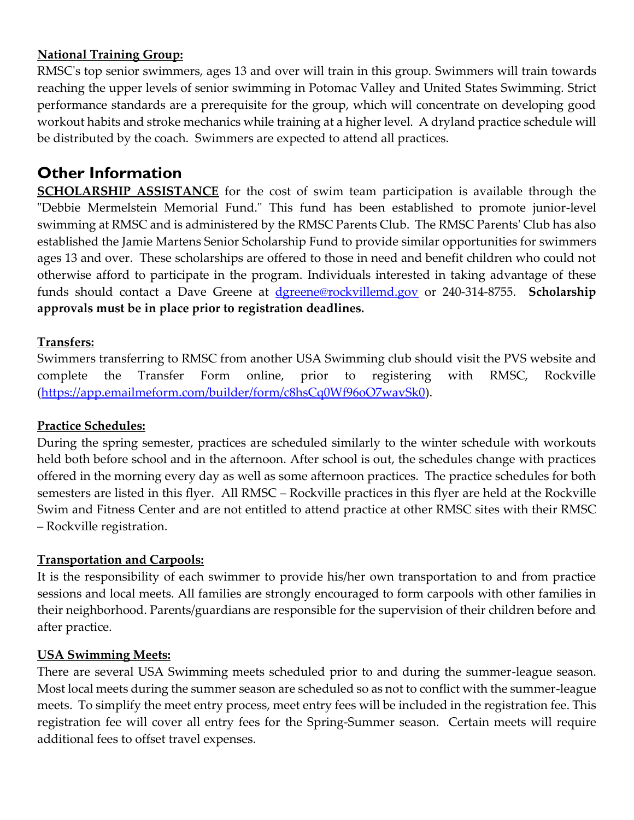#### **National Training Group:**

RMSC's top senior swimmers, ages 13 and over will train in this group. Swimmers will train towards reaching the upper levels of senior swimming in Potomac Valley and United States Swimming. Strict performance standards are a prerequisite for the group, which will concentrate on developing good workout habits and stroke mechanics while training at a higher level. A dryland practice schedule will be distributed by the coach. Swimmers are expected to attend all practices.

## **Other Information**

**SCHOLARSHIP ASSISTANCE** for the cost of swim team participation is available through the "Debbie Mermelstein Memorial Fund." This fund has been established to promote junior-level swimming at RMSC and is administered by the RMSC Parents Club. The RMSC Parents' Club has also established the Jamie Martens Senior Scholarship Fund to provide similar opportunities for swimmers ages 13 and over. These scholarships are offered to those in need and benefit children who could not otherwise afford to participate in the program. Individuals interested in taking advantage of these funds should contact a Dave Greene at [dgreene@rockvillemd.gov](mailto:dgreene@rockvillemd.gov) or 240-314-8755. **Scholarship approvals must be in place prior to registration deadlines.**

#### **Transfers:**

Swimmers transferring to RMSC from another USA Swimming club should visit the PVS website and complete the Transfer Form online, prior to registering with RMSC, Rockville [\(https://app.emailmeform.com/builder/form/c8hsCq0Wf96oO7wavSk0\)](https://app.emailmeform.com/builder/form/c8hsCq0Wf96oO7wavSk0).

#### **Practice Schedules:**

During the spring semester, practices are scheduled similarly to the winter schedule with workouts held both before school and in the afternoon. After school is out, the schedules change with practices offered in the morning every day as well as some afternoon practices. The practice schedules for both semesters are listed in this flyer. All RMSC – Rockville practices in this flyer are held at the Rockville Swim and Fitness Center and are not entitled to attend practice at other RMSC sites with their RMSC – Rockville registration.

#### **Transportation and Carpools:**

It is the responsibility of each swimmer to provide his/her own transportation to and from practice sessions and local meets. All families are strongly encouraged to form carpools with other families in their neighborhood. Parents/guardians are responsible for the supervision of their children before and after practice.

#### **USA Swimming Meets:**

There are several USA Swimming meets scheduled prior to and during the summer-league season. Most local meets during the summer season are scheduled so as not to conflict with the summer-league meets. To simplify the meet entry process, meet entry fees will be included in the registration fee. This registration fee will cover all entry fees for the Spring-Summer season. Certain meets will require additional fees to offset travel expenses.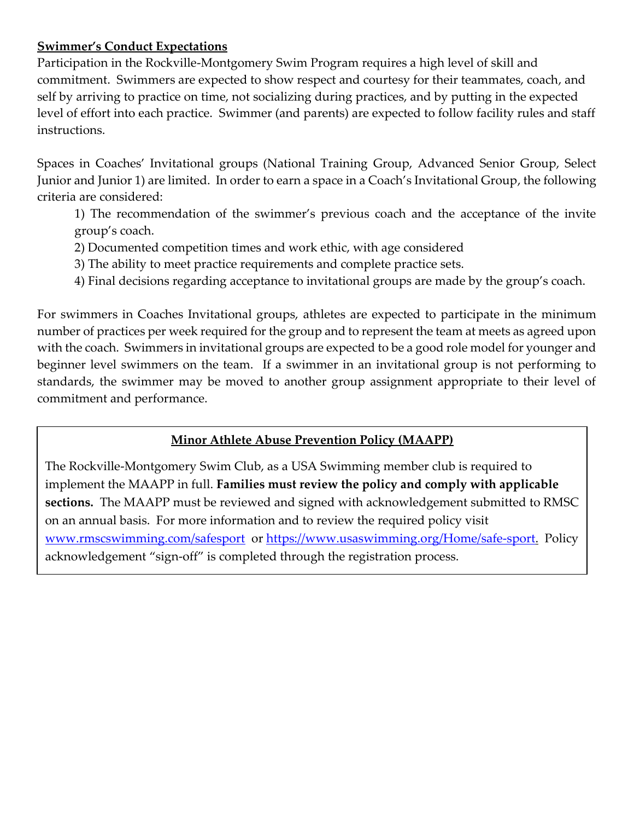#### **Swimmer's Conduct Expectations**

Participation in the Rockville-Montgomery Swim Program requires a high level of skill and commitment. Swimmers are expected to show respect and courtesy for their teammates, coach, and self by arriving to practice on time, not socializing during practices, and by putting in the expected level of effort into each practice. Swimmer (and parents) are expected to follow facility rules and staff instructions.

Spaces in Coaches' Invitational groups (National Training Group, Advanced Senior Group, Select Junior and Junior 1) are limited. In order to earn a space in a Coach's Invitational Group, the following criteria are considered:

1) The recommendation of the swimmer's previous coach and the acceptance of the invite group's coach.

- 2) Documented competition times and work ethic, with age considered
- 3) The ability to meet practice requirements and complete practice sets.
- 4) Final decisions regarding acceptance to invitational groups are made by the group's coach.

For swimmers in Coaches Invitational groups, athletes are expected to participate in the minimum number of practices per week required for the group and to represent the team at meets as agreed upon with the coach. Swimmers in invitational groups are expected to be a good role model for younger and beginner level swimmers on the team. If a swimmer in an invitational group is not performing to standards, the swimmer may be moved to another group assignment appropriate to their level of commitment and performance.

## **Minor Athlete Abuse Prevention Policy (MAAPP)**

The Rockville-Montgomery Swim Club, as a USA Swimming member club is required to implement the MAAPP in full. **Families must review the policy and comply with applicable sections.** The MAAPP must be reviewed and signed with acknowledgement submitted to RMSC on an annual basis. For more information and to review the required policy visit [www.rmscswimming.com/safesport](http://www.rmscswimming.com/safesport) or [https://www.usaswimming.org/Home/safe-sport.](https://www.usaswimming.org/Home/safe-sport) Policy acknowledgement "sign-off" is completed through the registration process.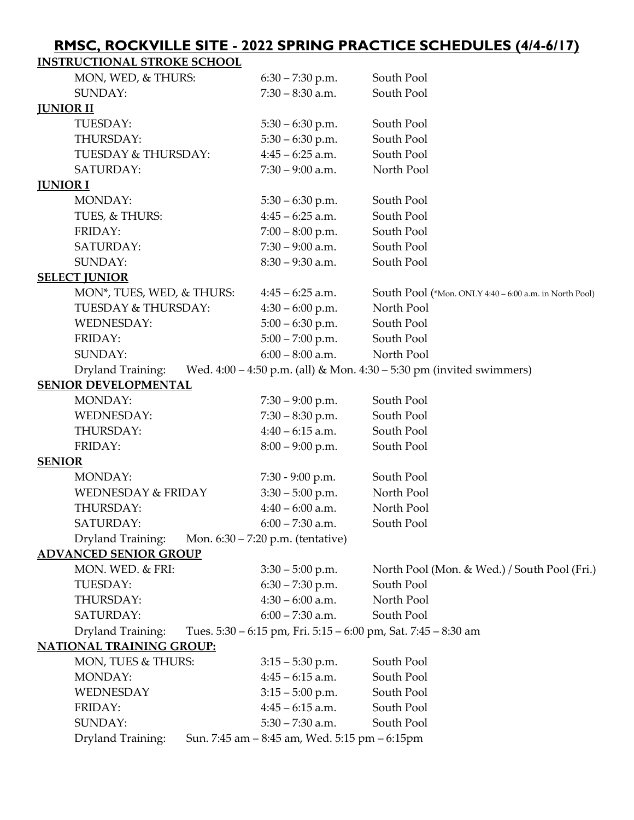## **RMSC, ROCKVILLE SITE - 2022 SPRING PRACTICE SCHEDULES (4/4-6/17)**

| <b>INSTRUCTIONAL STROKE SCHOOL</b> |                                               |                                                                          |
|------------------------------------|-----------------------------------------------|--------------------------------------------------------------------------|
| MON, WED, & THURS:                 | $6:30 - 7:30$ p.m.                            | South Pool                                                               |
| SUNDAY:                            | $7:30 - 8:30$ a.m.                            | South Pool                                                               |
| <b>JUNIOR II</b>                   |                                               |                                                                          |
| TUESDAY:                           | $5:30 - 6:30$ p.m.                            | South Pool                                                               |
| THURSDAY:                          | $5:30 - 6:30$ p.m.                            | South Pool                                                               |
| <b>TUESDAY &amp; THURSDAY:</b>     | $4:45 - 6:25$ a.m.                            | South Pool                                                               |
| SATURDAY:                          | $7:30 - 9:00$ a.m.                            | North Pool                                                               |
| <u>JUNIOR I</u>                    |                                               |                                                                          |
| MONDAY:                            | $5:30 - 6:30$ p.m.                            | South Pool                                                               |
| TUES, & THURS:                     | $4:45 - 6:25$ a.m.                            | South Pool                                                               |
| FRIDAY:                            | $7:00 - 8:00$ p.m.                            | South Pool                                                               |
| SATURDAY:                          | $7:30 - 9:00$ a.m.                            | South Pool                                                               |
| SUNDAY:                            | $8:30 - 9:30$ a.m.                            | South Pool                                                               |
| <b>SELECT JUNIOR</b>               |                                               |                                                                          |
| MON*, TUES, WED, & THURS:          | $4:45 - 6:25$ a.m.                            | South Pool (*Mon. ONLY 4:40 – 6:00 a.m. in North Pool)                   |
| <b>TUESDAY &amp; THURSDAY:</b>     | $4:30 - 6:00$ p.m.                            | North Pool                                                               |
| <b>WEDNESDAY:</b>                  | $5:00 - 6:30$ p.m.                            | South Pool                                                               |
| FRIDAY:                            | $5:00 - 7:00$ p.m.                            | South Pool                                                               |
| SUNDAY:                            | $6:00 - 8:00$ a.m.                            | North Pool                                                               |
| Dryland Training:                  |                                               | Wed. $4:00 - 4:50$ p.m. (all) & Mon. $4:30 - 5:30$ pm (invited swimmers) |
| SENIOR DEVELOPMENTAL               |                                               |                                                                          |
| MONDAY:                            | $7:30 - 9:00$ p.m.                            | South Pool                                                               |
| <b>WEDNESDAY:</b>                  | $7:30 - 8:30$ p.m.                            | South Pool                                                               |
| THURSDAY:                          | $4:40 - 6:15$ a.m.                            | South Pool                                                               |
| FRIDAY:                            | $8:00 - 9:00$ p.m.                            | South Pool                                                               |
| <b>SENIOR</b>                      |                                               |                                                                          |
| MONDAY:                            | 7:30 - 9:00 p.m.                              | South Pool                                                               |
| <b>WEDNESDAY &amp; FRIDAY</b>      | $3:30 - 5:00$ p.m.                            | North Pool                                                               |
| THURSDAY:                          | $4:40 - 6:00$ a.m.                            | North Pool                                                               |
| SATURDAY:                          | $6:00 - 7:30$ a.m.                            | South Pool                                                               |
| Dryland Training:                  | Mon. 6:30 – 7:20 p.m. (tentative)             |                                                                          |
| <b>ADVANCED SENIOR GROUP</b>       |                                               |                                                                          |
| MON. WED. & FRI:                   | $3:30 - 5:00$ p.m.                            | North Pool (Mon. & Wed.) / South Pool (Fri.)                             |
| TUESDAY:                           | $6:30 - 7:30$ p.m.                            | South Pool                                                               |
| THURSDAY:                          | $4:30 - 6:00$ a.m.                            | North Pool                                                               |
| SATURDAY:                          | $6:00 - 7:30$ a.m.                            | South Pool                                                               |
| Dryland Training:                  |                                               | Tues. 5:30 - 6:15 pm, Fri. 5:15 - 6:00 pm, Sat. 7:45 - 8:30 am           |
| <b>NATIONAL TRAINING GROUP:</b>    |                                               |                                                                          |
| MON, TUES & THURS:                 | $3:15 - 5:30$ p.m.                            | South Pool                                                               |
| MONDAY:                            | $4:45 - 6:15$ a.m.                            | South Pool                                                               |
| WEDNESDAY                          | $3:15 - 5:00$ p.m.                            | South Pool                                                               |
| FRIDAY:                            | $4:45 - 6:15$ a.m.                            | South Pool                                                               |
| SUNDAY:                            | $5:30 - 7:30$ a.m.                            | South Pool                                                               |
| Dryland Training:                  | Sun. 7:45 am - 8:45 am, Wed. 5:15 pm - 6:15pm |                                                                          |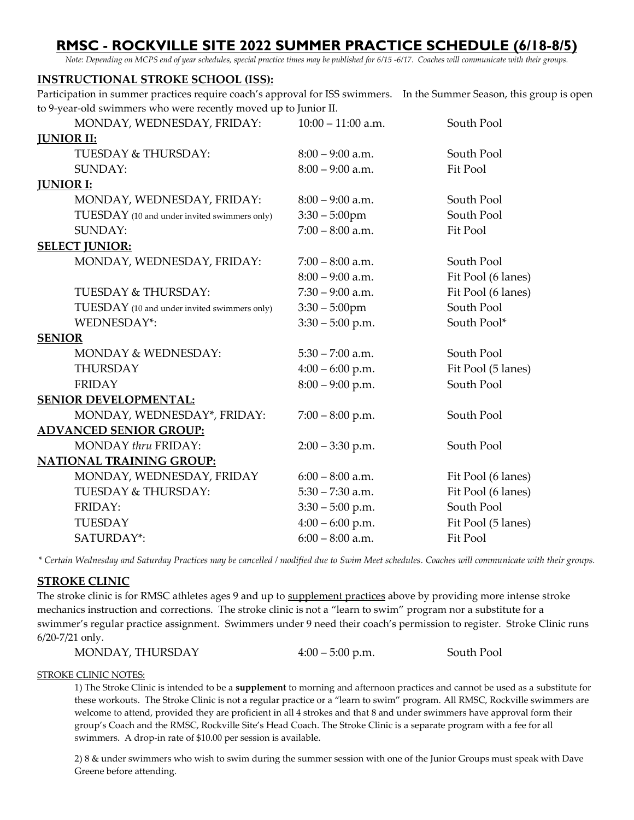## **RMSC - ROCKVILLE SITE 2022 SUMMER PRACTICE SCHEDULE (6/18-8/5)**

*Note: Depending on MCPS end of year schedules, special practice times may be published for 6/15 -6/17. Coaches will communicate with their groups.*

#### **INSTRUCTIONAL STROKE SCHOOL (ISS):**

Participation in summer practices require coach's approval for ISS swimmers. In the Summer Season, this group is open to 9-year-old swimmers who were recently moved up to Junior II.

| MONDAY, WEDNESDAY, FRIDAY:                   | $10:00 - 11:00$ a.m. | South Pool         |
|----------------------------------------------|----------------------|--------------------|
| <b>JUNIOR II:</b>                            |                      |                    |
| <b>TUESDAY &amp; THURSDAY:</b>               | $8:00 - 9:00$ a.m.   | South Pool         |
| SUNDAY:                                      | $8:00 - 9:00$ a.m.   | Fit Pool           |
| <b>JUNIOR I:</b>                             |                      |                    |
| MONDAY, WEDNESDAY, FRIDAY:                   | $8:00 - 9:00$ a.m.   | South Pool         |
| TUESDAY (10 and under invited swimmers only) | $3:30 - 5:00$ pm     | South Pool         |
| SUNDAY:                                      | $7:00 - 8:00$ a.m.   | Fit Pool           |
| <b>SELECT JUNIOR:</b>                        |                      |                    |
| MONDAY, WEDNESDAY, FRIDAY:                   | $7:00 - 8:00$ a.m.   | South Pool         |
|                                              | $8:00 - 9:00$ a.m.   | Fit Pool (6 lanes) |
| <b>TUESDAY &amp; THURSDAY:</b>               | $7:30 - 9:00$ a.m.   | Fit Pool (6 lanes) |
| TUESDAY (10 and under invited swimmers only) | $3:30 - 5:00$ pm     | South Pool         |
| WEDNESDAY*:                                  | $3:30 - 5:00$ p.m.   | South Pool*        |
| <b>SENIOR</b>                                |                      |                    |
| MONDAY & WEDNESDAY:                          | $5:30 - 7:00$ a.m.   | South Pool         |
| THURSDAY                                     | $4:00 - 6:00$ p.m.   | Fit Pool (5 lanes) |
| <b>FRIDAY</b>                                | $8:00 - 9:00$ p.m.   | South Pool         |
| <b>SENIOR DEVELOPMENTAL:</b>                 |                      |                    |
| MONDAY, WEDNESDAY*, FRIDAY:                  | $7:00 - 8:00$ p.m.   | South Pool         |
| <b>ADVANCED SENIOR GROUP:</b>                |                      |                    |
| MONDAY thru FRIDAY:                          | $2:00 - 3:30$ p.m.   | South Pool         |
| <b>NATIONAL TRAINING GROUP:</b>              |                      |                    |
| MONDAY, WEDNESDAY, FRIDAY                    | $6:00 - 8:00$ a.m.   | Fit Pool (6 lanes) |
| TUESDAY & THURSDAY:                          | $5:30 - 7:30$ a.m.   | Fit Pool (6 lanes) |
| FRIDAY:                                      | $3:30 - 5:00$ p.m.   | South Pool         |
| <b>TUESDAY</b>                               | $4:00 - 6:00$ p.m.   | Fit Pool (5 lanes) |
| SATURDAY*:                                   | $6:00 - 8:00$ a.m.   | Fit Pool           |
|                                              |                      |                    |

*\* Certain Wednesday and Saturday Practices may be cancelled / modified due to Swim Meet schedules. Coaches will communicate with their groups.*

#### **STROKE CLINIC**

The stroke clinic is for RMSC athletes ages 9 and up to supplement practices above by providing more intense stroke mechanics instruction and corrections. The stroke clinic is not a "learn to swim" program nor a substitute for a swimmer's regular practice assignment. Swimmers under 9 need their coach's permission to register. Stroke Clinic runs 6/20-7/21 only.

MONDAY, THURSDAY 4:00 – 5:00 p.m. South Pool

STROKE CLINIC NOTES:

1) The Stroke Clinic is intended to be a **supplement** to morning and afternoon practices and cannot be used as a substitute for these workouts. The Stroke Clinic is not a regular practice or a "learn to swim" program. All RMSC, Rockville swimmers are welcome to attend, provided they are proficient in all 4 strokes and that 8 and under swimmers have approval form their group's Coach and the RMSC, Rockville Site's Head Coach. The Stroke Clinic is a separate program with a fee for all swimmers. A drop-in rate of \$10.00 per session is available.

2) 8 & under swimmers who wish to swim during the summer session with one of the Junior Groups must speak with Dave Greene before attending.